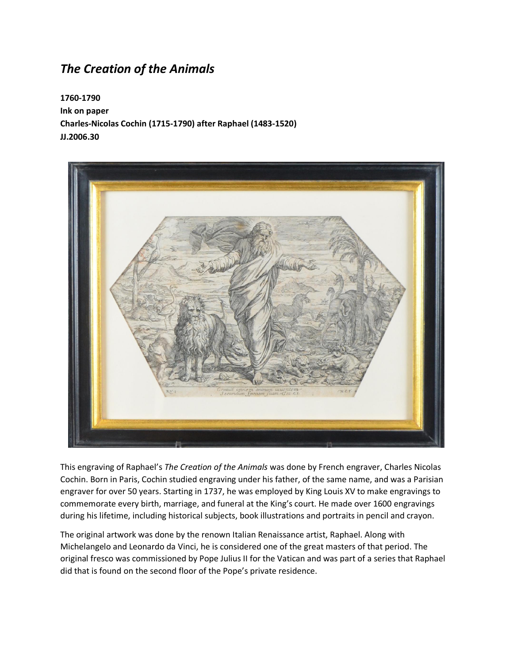## *The Creation of the Animals*

**1760-1790 Ink on paper Charles-Nicolas Cochin (1715-1790) after Raphael (1483-1520) JJ.2006.30**



This engraving of Raphael's *The Creation of the Animals* was done by French engraver, Charles Nicolas Cochin. Born in Paris, Cochin studied engraving under his father, of the same name, and was a Parisian engraver for over 50 years. Starting in 1737, he was employed by King Louis XV to make engravings to commemorate every birth, marriage, and funeral at the King's court. He made over 1600 engravings during his lifetime, including historical subjects, book illustrations and portraits in pencil and crayon.

The original artwork was done by the renown Italian Renaissance artist, Raphael. Along with Michelangelo and Leonardo da Vinci, he is considered one of the great masters of that period. The original fresco was commissioned by Pope Julius II for the Vatican and was part of a series that Raphael did that is found on the second floor of the Pope's private residence.